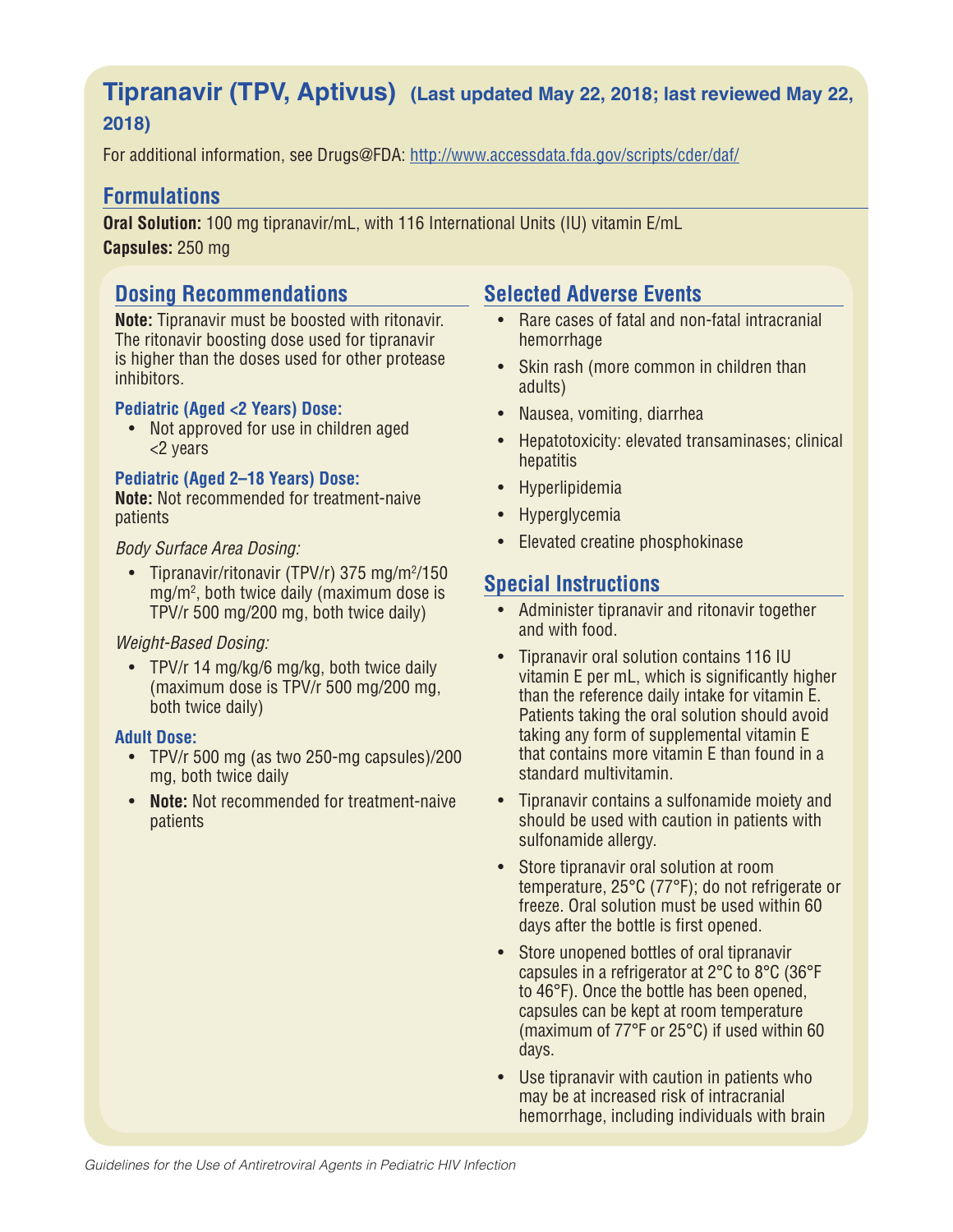# **Tipranavir (TPV, Aptivus) (Last updated May 22, 2018; last reviewed May 22, 2018)**

For additional information, see Drugs@FDA: http://www.accessdata.fda.gov/scripts/cder/daf/

# **Formulations**

**Oral Solution:** 100 mg tipranavir/mL, with 116 International Units (IU) vitamin E/mL **Capsules:** 250 mg

# **Dosing Recommendations**

**Note:** Tipranavir must be boosted with ritonavir. The ritonavir boosting dose used for tipranavir is higher than the doses used for other protease inhibitors.

#### **Pediatric (Aged <2 Years) Dose:**

• Not approved for use in children aged <2 years

#### **Pediatric (Aged 2–18 Years) Dose:**

**Note:** Not recommended for treatment-naive patients

#### *Body Surface Area Dosing:*

• Tipranavir/ritonavir (TPV/r) 375 mg/m<sup>2</sup>/150 mg/m2 , both twice daily (maximum dose is TPV/r 500 mg/200 mg, both twice daily)

#### *Weight-Based Dosing:*

• TPV/r 14 mg/kg/6 mg/kg, both twice daily (maximum dose is TPV/r 500 mg/200 mg, both twice daily)

### **Adult Dose:**

- TPV/r 500 mg (as two 250-mg capsules)/200 mg, both twice daily
- **Note:** Not recommended for treatment-naive patients

# **Selected Adverse Events**

- Rare cases of fatal and non-fatal intracranial hemorrhage
- Skin rash (more common in children than adults)
- Nausea, vomiting, diarrhea
- Hepatotoxicity: elevated transaminases; clinical hepatitis
- Hyperlipidemia
- Hyperglycemia
- Elevated creatine phosphokinase

# **Special Instructions**

- Administer tipranavir and ritonavir together and with food.
- Tipranavir oral solution contains 116 IU vitamin E per mL, which is significantly higher than the reference daily intake for vitamin E. Patients taking the oral solution should avoid taking any form of supplemental vitamin E that contains more vitamin E than found in a standard multivitamin.
- Tipranavir contains a sulfonamide moiety and should be used with caution in patients with sulfonamide allergy.
- Store tipranavir oral solution at room temperature, 25°C (77°F); do not refrigerate or freeze. Oral solution must be used within 60 days after the bottle is first opened.
- Store unopened bottles of oral tipranavir capsules in a refrigerator at 2°C to 8°C (36°F to 46°F). Once the bottle has been opened, capsules can be kept at room temperature (maximum of 77°F or 25°C) if used within 60 days.
- Use tipranavir with caution in patients who may be at increased risk of intracranial hemorrhage, including individuals with brain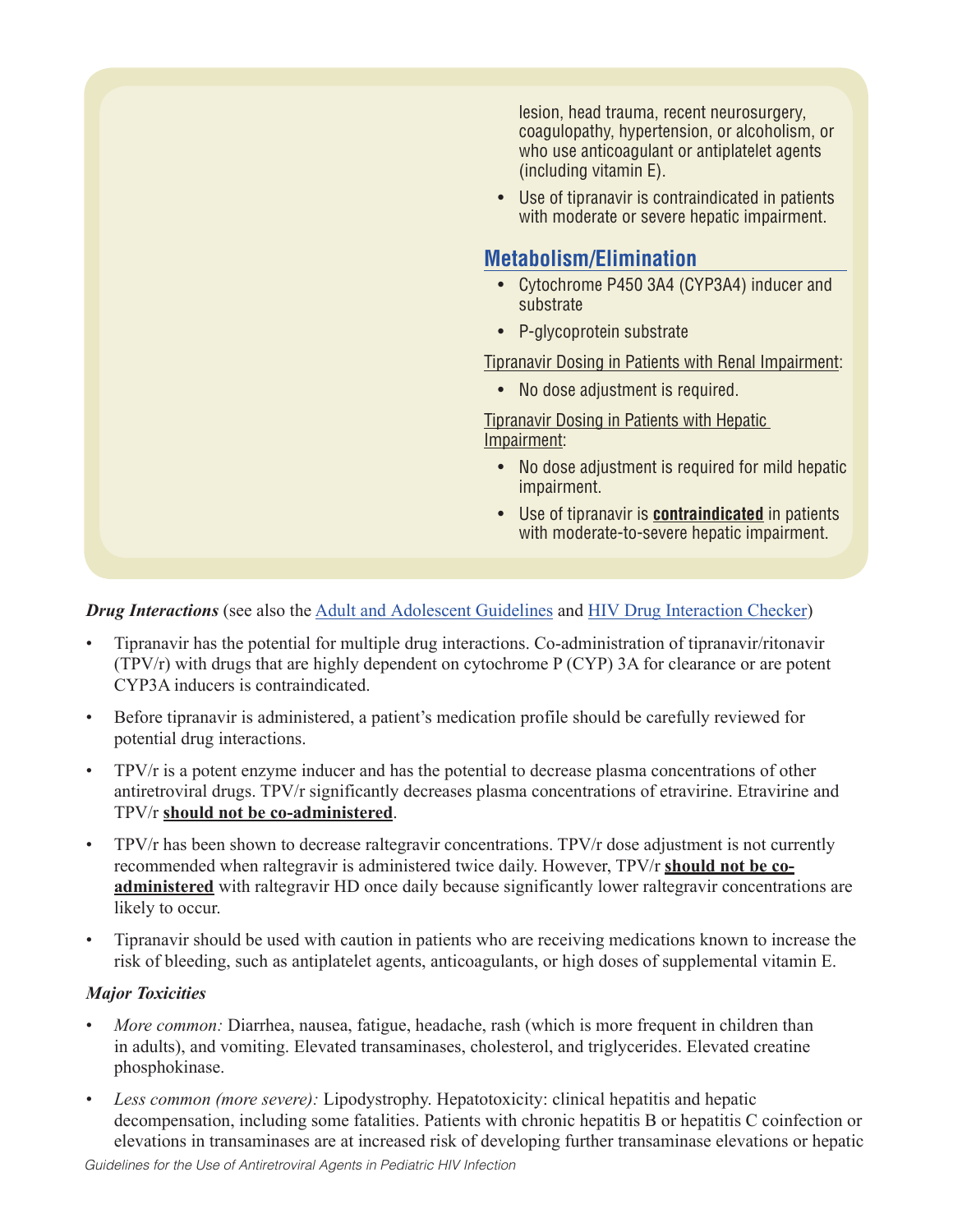

#### *Drug Interactions* (see also the Adult and Adolescent Guidelines and HIV Drug Interaction Checker)

- Tipranavir has the potential for multiple drug interactions. Co-administration of tipranavir/ritonavir (TPV/r) with drugs that are highly dependent on cytochrome P (CYP) 3A for clearance or are potent CYP3A inducers is contraindicated.
- Before tipranavir is administered, a patient's medication profile should be carefully reviewed for potential drug interactions.
- TPV/r is a potent enzyme inducer and has the potential to decrease plasma concentrations of other antiretroviral drugs. TPV/r significantly decreases plasma concentrations of etravirine. Etravirine and TPV/r **should not be co-administered**.
- TPV/r has been shown to decrease raltegravir concentrations. TPV/r dose adjustment is not currently recommended when raltegravir is administered twice daily. However, TPV/r **should not be coadministered** with raltegravir HD once daily because significantly lower raltegravir concentrations are likely to occur.
- Tipranavir should be used with caution in patients who are receiving medications known to increase the risk of bleeding, such as antiplatelet agents, anticoagulants, or high doses of supplemental vitamin E.

#### *Major Toxicities*

- *More common:* Diarrhea, nausea, fatigue, headache, rash (which is more frequent in children than in adults), and vomiting. Elevated transaminases, cholesterol, and triglycerides. Elevated creatine phosphokinase.
- *Less common (more severe):* Lipodystrophy. Hepatotoxicity: clinical hepatitis and hepatic decompensation, including some fatalities. Patients with chronic hepatitis B or hepatitis C coinfection or elevations in transaminases are at increased risk of developing further transaminase elevations or hepatic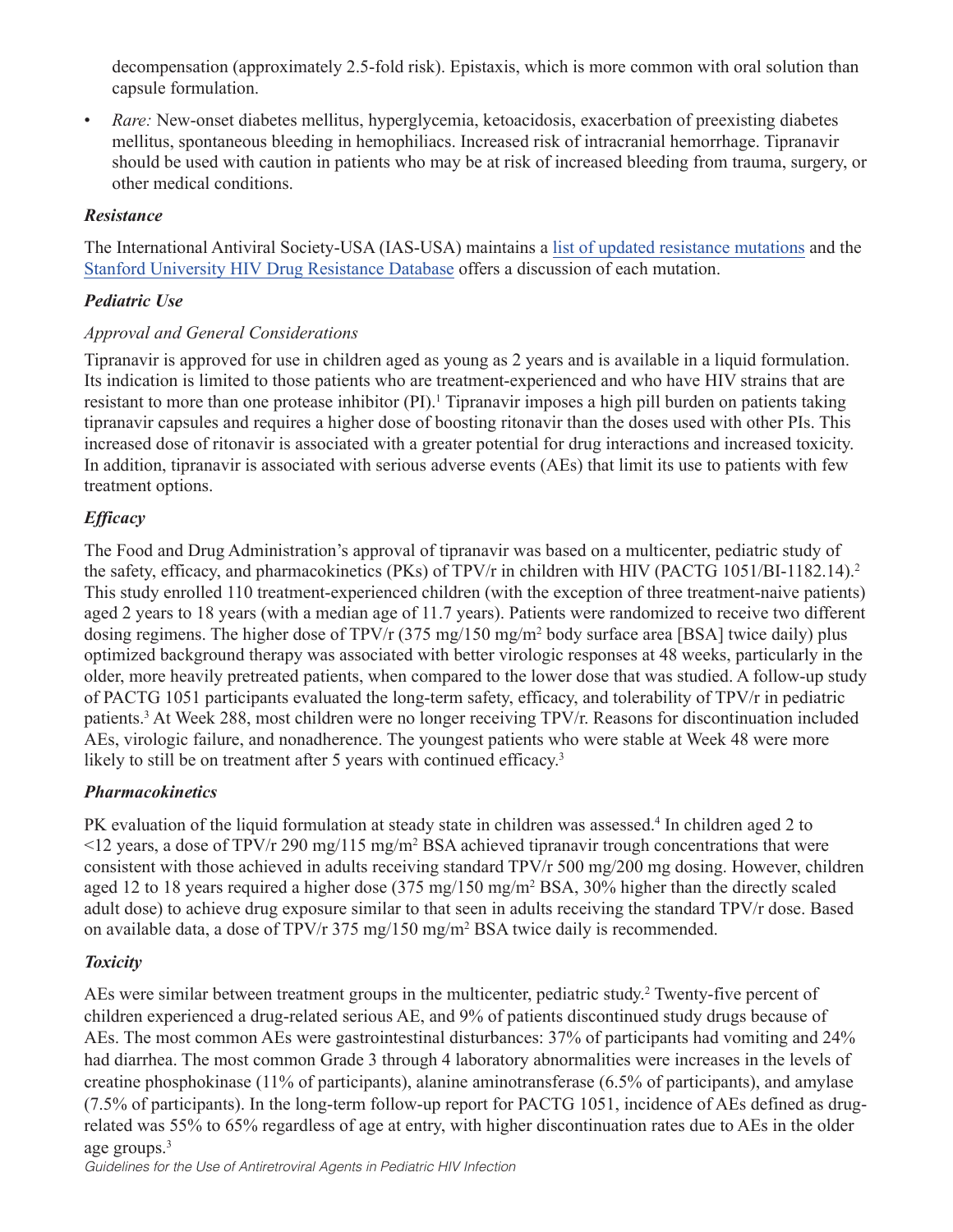decompensation (approximately 2.5-fold risk). Epistaxis, which is more common with oral solution than capsule formulation.

*Rare:* New-onset diabetes mellitus, hyperglycemia, ketoacidosis, exacerbation of preexisting diabetes mellitus, spontaneous bleeding in hemophiliacs. Increased risk of intracranial hemorrhage. Tipranavir should be used with caution in patients who may be at risk of increased bleeding from trauma, surgery, or other medical conditions.

## *Resistance*

The International Antiviral Society-USA (IAS-USA) maintains a list of updated resistance mutations and the Stanford University HIV Drug Resistance Database offers a discussion of each mutation.

# *Pediatric Use*

### *Approval and General Considerations*

Tipranavir is approved for use in children aged as young as 2 years and is available in a liquid formulation. Its indication is limited to those patients who are treatment-experienced and who have HIV strains that are resistant to more than one protease inhibitor (PI).<sup>1</sup> Tipranavir imposes a high pill burden on patients taking tipranavir capsules and requires a higher dose of boosting ritonavir than the doses used with other PIs. This increased dose of ritonavir is associated with a greater potential for drug interactions and increased toxicity. In addition, tipranavir is associated with serious adverse events (AEs) that limit its use to patients with few treatment options.

# *Efficacy*

The Food and Drug Administration's approval of tipranavir was based on a multicenter, pediatric study of the safety, efficacy, and pharmacokinetics (PKs) of TPV/r in children with HIV (PACTG 1051/BI-1182.14).<sup>2</sup> This study enrolled 110 treatment-experienced children (with the exception of three treatment-naive patients) aged 2 years to 18 years (with a median age of 11.7 years). Patients were randomized to receive two different dosing regimens. The higher dose of TPV/r (375 mg/150 mg/m<sup>2</sup> body surface area [BSA] twice daily) plus optimized background therapy was associated with better virologic responses at 48 weeks, particularly in the older, more heavily pretreated patients, when compared to the lower dose that was studied. A follow-up study of PACTG 1051 participants evaluated the long-term safety, efficacy, and tolerability of TPV/r in pediatric patients.<sup>3</sup> At Week 288, most children were no longer receiving TPV/r. Reasons for discontinuation included AEs, virologic failure, and nonadherence. The youngest patients who were stable at Week 48 were more likely to still be on treatment after 5 years with continued efficacy.<sup>3</sup>

### *Pharmacokinetics*

PK evaluation of the liquid formulation at steady state in children was assessed.<sup>4</sup> In children aged 2 to  $\le$ 12 years, a dose of TPV/r 290 mg/115 mg/m<sup>2</sup> BSA achieved tipranavir trough concentrations that were consistent with those achieved in adults receiving standard TPV/r 500 mg/200 mg dosing. However, children aged 12 to 18 years required a higher dose (375 mg/150 mg/m<sup>2</sup> BSA, 30% higher than the directly scaled adult dose) to achieve drug exposure similar to that seen in adults receiving the standard TPV/r dose. Based on available data, a dose of TPV/r 375 mg/150 mg/m<sup>2</sup> BSA twice daily is recommended.

### *Toxicity*

AEs were similar between treatment groups in the multicenter, pediatric study. <sup>2</sup> Twenty-five percent of children experienced a drug-related serious AE, and 9% of patients discontinued study drugs because of AEs. The most common AEs were gastrointestinal disturbances: 37% of participants had vomiting and 24% had diarrhea. The most common Grade 3 through 4 laboratory abnormalities were increases in the levels of creatine phosphokinase (11% of participants), alanine aminotransferase (6.5% of participants), and amylase (7.5% of participants). In the long-term follow-up report for PACTG 1051, incidence of AEs defined as drugrelated was 55% to 65% regardless of age at entry, with higher discontinuation rates due to AEs in the older age groups.<sup>3</sup>